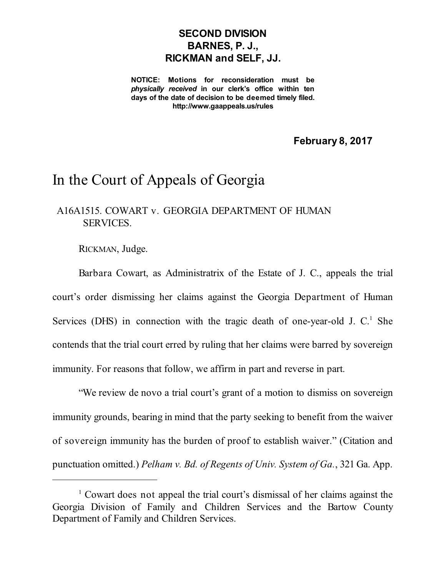## **SECOND DIVISION BARNES, P. J., RICKMAN and SELF, JJ.**

**NOTICE: Motions for reconsideration must be** *physically received* **in our clerk's office within ten days of the date of decision to be deemed timely filed. http://www.gaappeals.us/rules**

**February 8, 2017**

## In the Court of Appeals of Georgia

## A16A1515. COWART v. GEORGIA DEPARTMENT OF HUMAN SERVICES.

RICKMAN, Judge.

Barbara Cowart, as Administratrix of the Estate of J. C., appeals the trial court's order dismissing her claims against the Georgia Department of Human Services (DHS) in connection with the tragic death of one-year-old J. C.<sup>1</sup> She contends that the trial court erred by ruling that her claims were barred by sovereign immunity. For reasons that follow, we affirm in part and reverse in part.

"We review de novo a trial court's grant of a motion to dismiss on sovereign immunity grounds, bearing in mind that the party seeking to benefit from the waiver of sovereign immunity has the burden of proof to establish waiver." (Citation and punctuation omitted.) *Pelham v. Bd. of Regents of Univ. System of Ga.*, 321 Ga. App.

<sup>1</sup> Cowart does not appeal the trial court's dismissal of her claims against the Georgia Division of Family and Children Services and the Bartow County Department of Family and Children Services.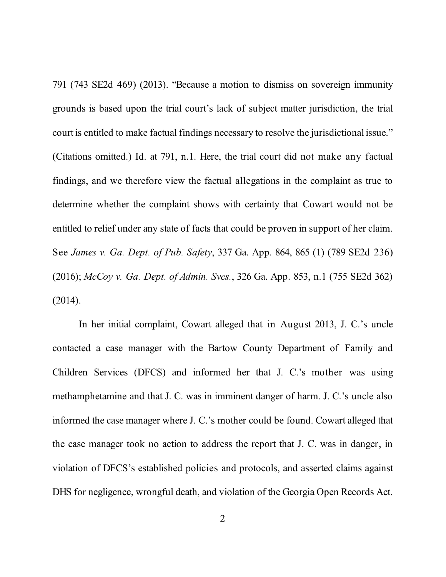791 (743 SE2d 469) (2013). "Because a motion to dismiss on sovereign immunity grounds is based upon the trial court's lack of subject matter jurisdiction, the trial court is entitled to make factual findings necessary to resolve the jurisdictional issue." (Citations omitted.) Id. at 791, n.1. Here, the trial court did not make any factual findings, and we therefore view the factual allegations in the complaint as true to determine whether the complaint shows with certainty that Cowart would not be entitled to relief under any state of facts that could be proven in support of her claim. See *James v. Ga. Dept. of Pub. Safety*, 337 Ga. App. 864, 865 (1) (789 SE2d 236) (2016); *McCoy v. Ga. Dept. of Admin. Svcs.*, 326 Ga. App. 853, n.1 (755 SE2d 362) (2014).

In her initial complaint, Cowart alleged that in August 2013, J. C.'s uncle contacted a case manager with the Bartow County Department of Family and Children Services (DFCS) and informed her that J. C.'s mother was using methamphetamine and that J. C. was in imminent danger of harm. J. C.'s uncle also informed the case manager where J. C.'s mother could be found. Cowart alleged that the case manager took no action to address the report that J. C. was in danger, in violation of DFCS's established policies and protocols, and asserted claims against DHS for negligence, wrongful death, and violation of the Georgia Open Records Act.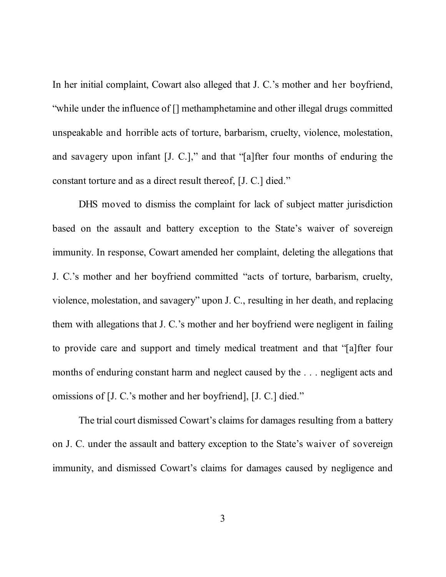In her initial complaint, Cowart also alleged that J. C.'s mother and her boyfriend, "while under the influence of [] methamphetamine and other illegal drugs committed unspeakable and horrible acts of torture, barbarism, cruelty, violence, molestation, and savagery upon infant [J. C.]," and that "[a]fter four months of enduring the constant torture and as a direct result thereof, [J. C.] died."

DHS moved to dismiss the complaint for lack of subject matter jurisdiction based on the assault and battery exception to the State's waiver of sovereign immunity. In response, Cowart amended her complaint, deleting the allegations that J. C.'s mother and her boyfriend committed "acts of torture, barbarism, cruelty, violence, molestation, and savagery" upon J. C., resulting in her death, and replacing them with allegations that J. C.'s mother and her boyfriend were negligent in failing to provide care and support and timely medical treatment and that "[a]fter four months of enduring constant harm and neglect caused by the . . . negligent acts and omissions of [J. C.'s mother and her boyfriend], [J. C.] died."

The trial court dismissed Cowart's claims for damages resulting from a battery on J. C. under the assault and battery exception to the State's waiver of sovereign immunity, and dismissed Cowart's claims for damages caused by negligence and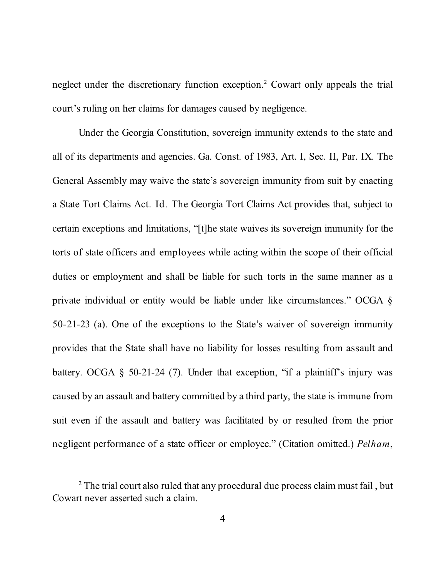neglect under the discretionary function exception. <sup>2</sup> Cowart only appeals the trial court's ruling on her claims for damages caused by negligence.

Under the Georgia Constitution, sovereign immunity extends to the state and all of its departments and agencies. Ga. Const. of 1983, Art. I, Sec. II, Par. IX. The General Assembly may waive the state's sovereign immunity from suit by enacting a State Tort Claims Act. Id. The Georgia Tort Claims Act provides that, subject to certain exceptions and limitations, "[t]he state waives its sovereign immunity for the torts of state officers and employees while acting within the scope of their official duties or employment and shall be liable for such torts in the same manner as a private individual or entity would be liable under like circumstances." OCGA § 50-21-23 (a). One of the exceptions to the State's waiver of sovereign immunity provides that the State shall have no liability for losses resulting from assault and battery. OCGA  $\S$  50-21-24 (7). Under that exception, "if a plaintiff's injury was caused by an assault and battery committed by a third party, the state is immune from suit even if the assault and battery was facilitated by or resulted from the prior negligent performance of a state officer or employee." (Citation omitted.) *Pelham*,

<sup>&</sup>lt;sup>2</sup> The trial court also ruled that any procedural due process claim must fail, but Cowart never asserted such a claim.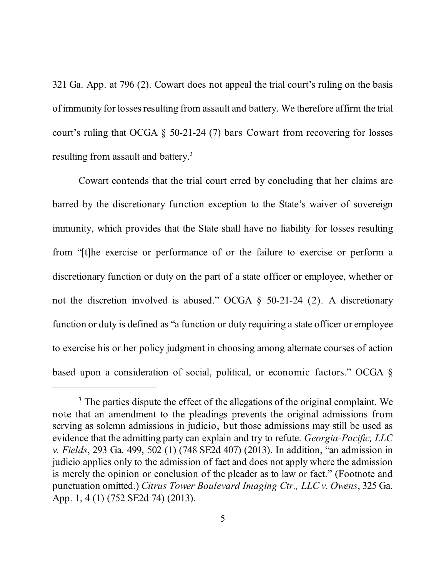321 Ga. App. at 796 (2). Cowart does not appeal the trial court's ruling on the basis of immunity for losses resulting from assault and battery. We therefore affirm the trial court's ruling that OCGA § 50-21-24 (7) bars Cowart from recovering for losses resulting from assault and battery.<sup>3</sup>

Cowart contends that the trial court erred by concluding that her claims are barred by the discretionary function exception to the State's waiver of sovereign immunity, which provides that the State shall have no liability for losses resulting from "[t]he exercise or performance of or the failure to exercise or perform a discretionary function or duty on the part of a state officer or employee, whether or not the discretion involved is abused." OCGA § 50-21-24 (2). A discretionary function or duty is defined as "a function or duty requiring a state officer or employee to exercise his or her policy judgment in choosing among alternate courses of action based upon a consideration of social, political, or economic factors." OCGA §

<sup>&</sup>lt;sup>3</sup> The parties dispute the effect of the allegations of the original complaint. We note that an amendment to the pleadings prevents the original admissions from serving as solemn admissions in judicio, but those admissions may still be used as evidence that the admitting party can explain and try to refute. *Georgia-Pacific, LLC v. Fields*, 293 Ga. 499, 502 (1) (748 SE2d 407) (2013). In addition, "an admission in judicio applies only to the admission of fact and does not apply where the admission is merely the opinion or conclusion of the pleader as to law or fact." (Footnote and punctuation omitted.) *Citrus Tower Boulevard Imaging Ctr., LLC v. Owens*, 325 Ga. App. 1, 4 (1) (752 SE2d 74) (2013).